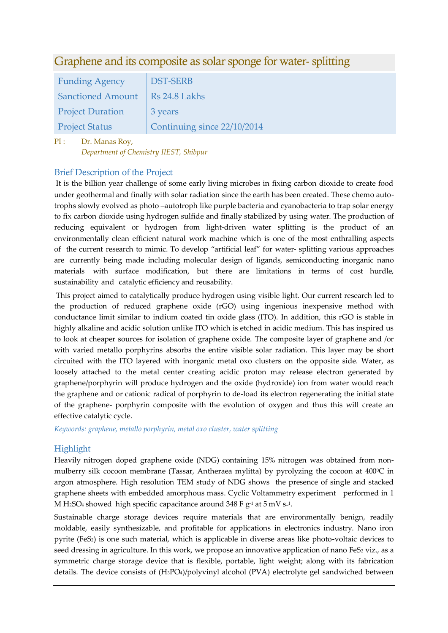# Graphene and its composite as solar sponge for water- splitting

| <b>Funding Agency</b>    | <b>DST-SERB</b>             |
|--------------------------|-----------------------------|
| <b>Sanctioned Amount</b> | Rs 24.8 Lakhs               |
| <b>Project Duration</b>  | 3 years                     |
| <b>Project Status</b>    | Continuing since 22/10/2014 |

PI : Dr. Manas Roy, *Department of Chemistry IIEST, Shibpur*

## Brief Description of the Project

It is the billion year challenge of some early living microbes in fixing carbon dioxide to create food under geothermal and finally with solar radiation since the earth has been created. These chemo autotrophs slowly evolved as photo –autotroph like purple bacteria and cyanobacteria to trap solar energy to fix carbon dioxide using hydrogen sulfide and finally stabilized by using water. The production of reducing equivalent or hydrogen from light-driven water splitting is the product of an environmentally clean efficient natural work machine which is one of the most enthralling aspects of the current research to mimic. To develop "artificial leaf" for water- splitting various approaches are currently being made including molecular design of ligands, semiconducting inorganic nano materials with surface modification, but there are limitations in terms of cost hurdle, sustainability and catalytic efficiency and reusability.

This project aimed to catalytically produce hydrogen using visible light. Our current research led to the production of reduced graphene oxide (rGO) using ingenious inexpensive method with conductance limit similar to indium coated tin oxide glass (ITO). In addition, this rGO is stable in highly alkaline and acidic solution unlike ITO which is etched in acidic medium. This has inspired us to look at cheaper sources for isolation of graphene oxide. The composite layer of graphene and /or with varied metallo porphyrins absorbs the entire visible solar radiation. This layer may be short circuited with the ITO layered with inorganic metal oxo clusters on the opposite side. Water, as loosely attached to the metal center creating acidic proton may release electron generated by graphene/porphyrin will produce hydrogen and the oxide (hydroxide) ion from water would reach the graphene and or cationic radical of porphyrin to de-load its electron regenerating the initial state of the graphene- porphyrin composite with the evolution of oxygen and thus this will create an effective catalytic cycle.

*Keywords: graphene, metallo porphyrin, metal oxo cluster, water splitting*

## **Highlight**

Heavily nitrogen doped graphene oxide (NDG) containing 15% nitrogen was obtained from nonmulberry silk cocoon membrane (Tassar, Antheraea mylitta) by pyrolyzing the cocoon at 400°C in argon atmosphere. High resolution TEM study of NDG shows the presence of single and stacked graphene sheets with embedded amorphous mass. Cyclic Voltammetry experiment performed in 1 M H2SO4 showed high specific capacitance around 348 F  $g^1$  at 5 mV s<sup>1</sup>.

Sustainable charge storage devices require materials that are environmentally benign, readily moldable, easily synthesizable, and profitable for applications in electronics industry. Nano iron pyrite (FeS2) is one such material, which is applicable in diverse areas like photo-voltaic devices to seed dressing in agriculture. In this work, we propose an innovative application of nano FeS<sub>2</sub> viz., as a symmetric charge storage device that is flexible, portable, light weight; along with its fabrication details. The device consists of (H3PO4)/polyvinyl alcohol (PVA) electrolyte gel sandwiched between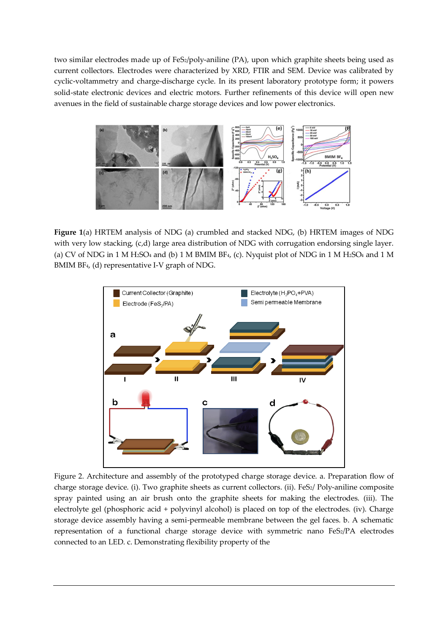two similar electrodes made up of FeS2/poly-aniline (PA), upon which graphite sheets being used as current collectors. Electrodes were characterized by XRD, FTIR and SEM. Device was calibrated by cyclic-voltammetry and charge-discharge cycle. In its present laboratory prototype form; it powers solid-state electronic devices and electric motors. Further refinements of this device will open new avenues in the field of sustainable charge storage devices and low power electronics.



**Figure 1**(a) HRTEM analysis of NDG (a) crumbled and stacked NDG, (b) HRTEM images of NDG with very low stacking, (c,d) large area distribution of NDG with corrugation endorsing single layer. (a) CV of NDG in 1 M H<sub>2</sub>SO<sub>4</sub> and (b) 1 M BMIM BF<sub>4</sub>, (c). Nyquist plot of NDG in 1 M H<sub>2</sub>SO<sub>4</sub> and 1 M BMIM BF4, (d) representative I-V graph of NDG.



Figure 2. Architecture and assembly of the prototyped charge storage device. a. Preparation flow of charge storage device. (i). Two graphite sheets as current collectors. (ii). FeS2/ Poly-aniline composite spray painted using an air brush onto the graphite sheets for making the electrodes. (iii). The electrolyte gel (phosphoric acid + polyvinyl alcohol) is placed on top of the electrodes. (iv). Charge storage device assembly having a semi-permeable membrane between the gel faces. b. A schematic representation of a functional charge storage device with symmetric nano FeS2/PA electrodes connected to an LED. c. Demonstrating flexibility property of the